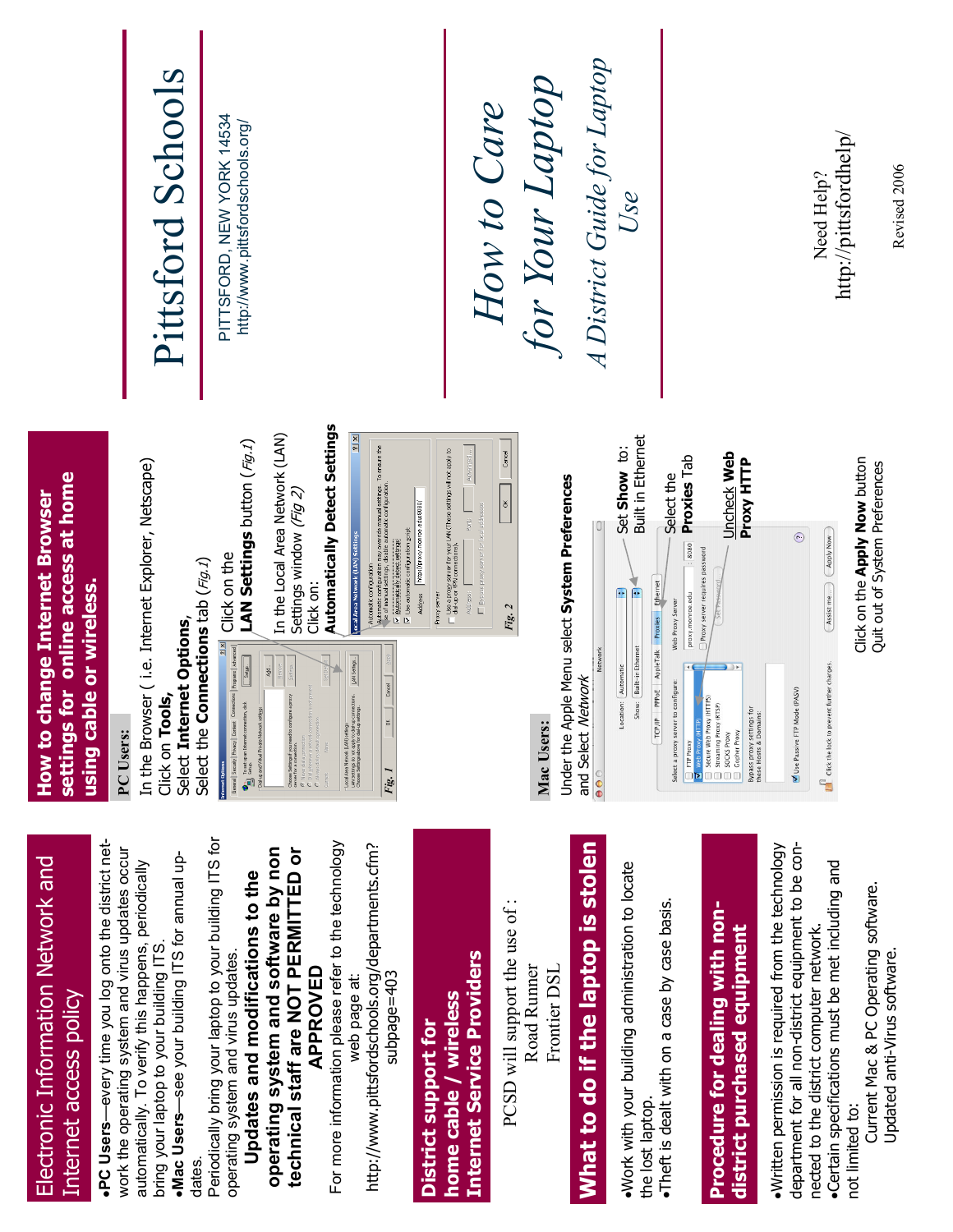|                                                                                                            | Pittsford Schools                                                                                                                                                                                                                                            | PITTSFORD, NEW YORK 14534<br>http://www.pittsfordschools.org/                                                                                                                                                                                                                                                                                                                                                                                                                                                                                                                                                                                                                                                                                                                                                                                                                                                                                                                                                                                                                                                                                                                                                                                                                                                                                                                                                                                                                                                                  | How to Care                                                                                                                                                                                                                                    | A District Guide for Laptop<br>for Your Laptop                                                                                     | Use                                                                                                                                                                                                                                                                                            |                                                                                                                                                                                                                                                                                                                                                                                                                       | Need Help?                                                                                                                                                                                                   | http://pittsfordhelp/<br>Revised 2006                                                   |
|------------------------------------------------------------------------------------------------------------|--------------------------------------------------------------------------------------------------------------------------------------------------------------------------------------------------------------------------------------------------------------|--------------------------------------------------------------------------------------------------------------------------------------------------------------------------------------------------------------------------------------------------------------------------------------------------------------------------------------------------------------------------------------------------------------------------------------------------------------------------------------------------------------------------------------------------------------------------------------------------------------------------------------------------------------------------------------------------------------------------------------------------------------------------------------------------------------------------------------------------------------------------------------------------------------------------------------------------------------------------------------------------------------------------------------------------------------------------------------------------------------------------------------------------------------------------------------------------------------------------------------------------------------------------------------------------------------------------------------------------------------------------------------------------------------------------------------------------------------------------------------------------------------------------------|------------------------------------------------------------------------------------------------------------------------------------------------------------------------------------------------------------------------------------------------|------------------------------------------------------------------------------------------------------------------------------------|------------------------------------------------------------------------------------------------------------------------------------------------------------------------------------------------------------------------------------------------------------------------------------------------|-----------------------------------------------------------------------------------------------------------------------------------------------------------------------------------------------------------------------------------------------------------------------------------------------------------------------------------------------------------------------------------------------------------------------|--------------------------------------------------------------------------------------------------------------------------------------------------------------------------------------------------------------|-----------------------------------------------------------------------------------------|
| for online access at home<br><b>How to change Internet Browser</b><br>using cable or wireless.<br>settings | In the Browser (i.e. Internet Explorer, Netscape)<br>Select Internet Options,<br>Click on Tools,<br>PC Users:                                                                                                                                                | <b>Automatically Detect Settings</b><br>In the Local Area Network (LAN)<br>Settings window ( <i>Fig 2)</i><br>LAN Settings button $(Fg,1)$<br>Automatic configuration may override manual settings. To ensure the<br>se of manual settings, disable automatic configuration.<br>ocal Area Network (LAN) Settings<br>Automatically detect settings<br>$\frac{12}{2}$ Click on the<br>Select the <b>Connections</b> tab (Fig.1)<br>Automatic configuration<br>Click on:<br>$\mathbf{p}$<br>General   Security   Privacy   Corview   Connections   Programs   Advanced  <br>$\Box$ setgo<br>LAN Settings<br>$\frac{1}{2}$<br>Local Airea Network (LAN) settings<br>LAN Settings do not apply to clairup comectores.<br>Choose Settings above for dairup settings.<br>$\begin{array}{ll} \textbf{Choose graphs } \ensuremath{\mathsf{F}}\xspace(\mathsf{nonempty}, \ensuremath{\mathsf{F}}\xspace(\mathsf{nonempty}, \ensuremath{\mathsf{F}}\xspace(\mathsf{nonempty}, \ensuremath{\mathsf{F}}\xspace(\mathsf{nonempty}, \ensuremath{\mathsf{F}}\xspace(\mathsf{nonempty}, \ensuremath{\mathsf{F}}\xspace(\mathsf{nonempty}, \ensuremath{\mathsf{F}}\xspace(\mathsf{nonempty}, \ensuremath{\mathsf{F}}\xspace(\mathsf{nonempty}, \ensuremath{\mathsf{F}}\xspace(\mathsf{nonempty}, \ensuremath{\mathsf{F}}\xspace(\mathsf{nonempty}, \ensuremath{\mathsf{F}}\xspace(\mathsf{$<br>To set up an Internet connection, dick<br>$\sum_{n=0}^{\infty}$ Setup,<br>Diakup and Virtual Private Network settings<br>$\frac{8}{10}$<br>Fig. 1 | T Use a progy server for your LAN (These settings will not apply to<br>T dial-up or VPN connections),<br>Advanced.<br>Address   http://proxy.monroe.edu.8080/<br>Use automatic configuration script<br>Eypess proxy server for<br>Proxy server | OK Cancel<br>Under the Apple Menu select System Preferences<br>Fig. 2<br>and Select Network<br>Mac Users:<br>$\bullet\bullet\circ$ | <b>Built in Ethernet</b><br>Set Show to:<br>Proxies Tab<br>Select the<br>.8080<br>[TCP/IP PPPOE AppleTalk Proxies Ethernet<br>$\frac{4}{1}$<br>Œ<br>proxy.monroe.edu<br>Web Proxy Server<br>Show: Built-in Ethernet<br>Location: Automatic<br>Select a proxy server to configure:<br>FTP Proxy | <b>Uncheck Web</b><br>Proxy HTTP<br>Proxy server requires password<br>$\begin{tabular}{ l } \hline \hline \textbf{W} is shown from \textbf{W} \\\hline \textbf{D} is a one web proxy (HITB) \\\hline \textbf{D} is a a map proxy (RTSP) \\\hline \textbf{D} is OCGS Proy \\ \hline \textbf{D} is OCGS Proy \\ \hline \textbf{D} is Oophier PAGN \end{tabular}$<br>Bypass proxy settings for<br>these Hosts & Domains: | Apply Now<br>$\odot$<br>(Assist me)<br>$\mathbf{E}$ Click the lock to prevent further changes.<br>Use Passive FTP Mode (PASV)                                                                                | Click on the Apply Now button<br>Quit out of System Preferences                         |
| Electronic Information Network and<br>Internet access policy                                               | .PC Users—every time you log onto the district net-<br>work the operating system and virus updates occur<br>•Mac Users-see your building ITS for annual up-<br>automatically. To verify this happens, periodically<br>bring your laptop to your building ITS | Periodically bring your laptop to your building ITS for<br>For more information please refer to the technology<br>http://www.pittsfordschools.org/departments.cfm?<br>operating system and software by non<br>technical staff are NOT PERMITTED or<br>Updates and modifications to the<br>operating system and virus updates.<br><b>APPROVED</b><br>subpage=403<br>web page at:                                                                                                                                                                                                                                                                                                                                                                                                                                                                                                                                                                                                                                                                                                                                                                                                                                                                                                                                                                                                                                                                                                                                                | <b>Internet Service Providers</b><br>home cable / wireless<br>District support for                                                                                                                                                             | What to do if the laptop is stolen<br>PCSD will support the use of<br>Road Runner<br>Frontier DSL                                  | . Work with your building administration to locate<br>. Theft is dealt with on a case by case basis.<br>the lost laptop.                                                                                                                                                                       | Procedure for dealing with non-<br>district purchased equipment                                                                                                                                                                                                                                                                                                                                                       | department for all non-district equipment to be con-<br>·Written permission is required from the technology<br>•Certain specifications must be met including and<br>nected to the district computer network. | Current Mac & PC Operating software.<br>Updated anti-Virus software.<br>not limited to: |